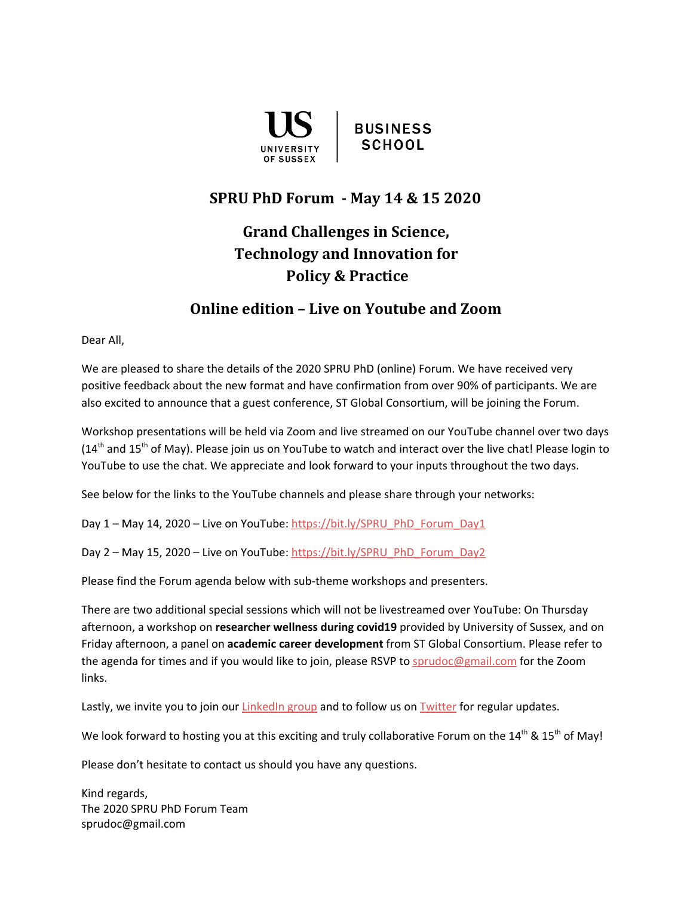

## **SPRU PhD Forum - May 14 & 15 2020**

## **Grand Challenges in Science, Technology and Innovation for Policy & Practice**

## **Online edition – Live on Youtube and Zoom**

Dear All,

We are pleased to share the details of the 2020 SPRU PhD (online) Forum. We have received very positive feedback about the new format and have confirmation from over 90% of participants. We are also excited to announce that a guest conference, ST Global Consortium, will be joining the Forum.

Workshop presentations will be held via Zoom and live streamed on our YouTube channel over two days (14<sup>th</sup> and 15<sup>th</sup> of May). Please join us on YouTube to watch and interact over the live chat! Please login to YouTube to use the chat. We appreciate and look forward to your inputs throughout the two days.

See below for the links to the YouTube channels and please share through your networks:

Day 1 – May 14, 2020 – Live on YouTube: [https://bit.ly/SPRU\\_PhD\\_Forum\\_Day1](https://bit.ly/SPRU_PhD_Forum_Day1)

Day 2 – May 15, 2020 – Live on YouTube: [https://bit.ly/SPRU\\_PhD\\_Forum\\_Day2](https://bit.ly/SPRU_PhD_Forum_Day2)

Please find the Forum agenda below with sub-theme workshops and presenters.

There are two additional special sessions which will not be livestreamed over YouTube: On Thursday afternoon, a workshop on **researcher wellness during covid19** provided by University of Sussex, and on Friday afternoon, a panel on **academic career development** from ST Global Consortium. Please refer to the agenda for times and if you would like to join, please RSVP to [sprudoc@gmail.com](mailto:sprudoc@gmail.com) for the Zoom links.

Lastly, we invite you to join our *[LinkedIn](https://www.linkedin.com/groups/12387515/) group* and to follow us on **[Twitter](https://twitter.com/SPRU_Forum)** for regular updates.

We look forward to hosting you at this exciting and truly collaborative Forum on the 14<sup>th</sup> & 15<sup>th</sup> of May!

Please don't hesitate to contact us should you have any questions.

Kind regards, The 2020 SPRU PhD Forum Team sprudoc@gmail.com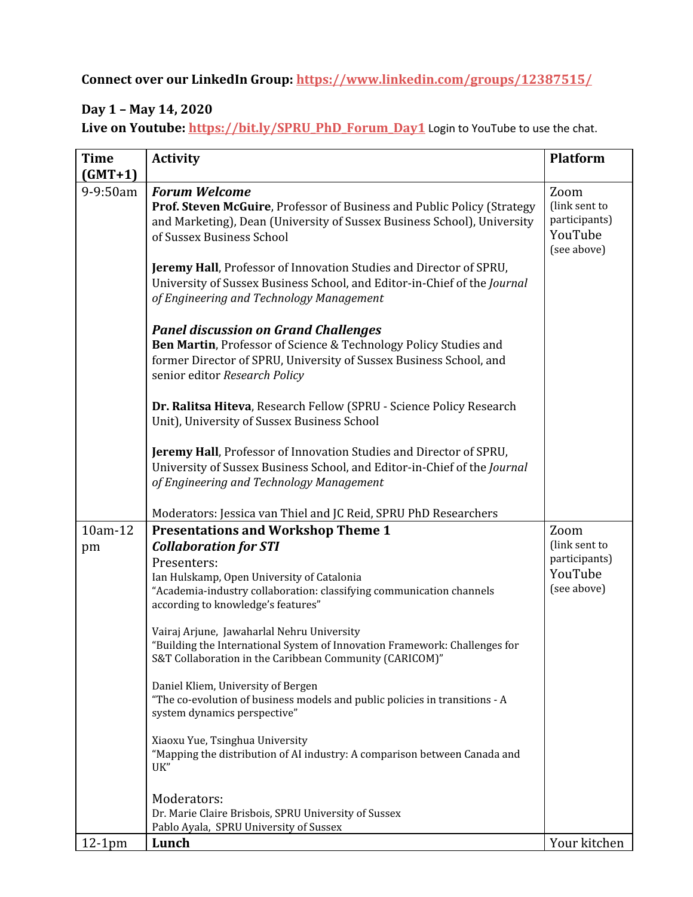**Connect over our LinkedIn Group: <https://www.linkedin.com/groups/12387515/>**

## **Day 1 – May 14, 2020**

Live on Youtube: [https://bit.ly/SPRU\\_PhD\\_Forum\\_Day1](https://bit.ly/SPRU_PhD_Forum_Day1) Login to YouTube to use the chat.

| <b>Time</b><br>$(GMT+1)$ | <b>Activity</b>                                                                                                                                                                                                                                                                                    | <b>Platform</b>                                                  |
|--------------------------|----------------------------------------------------------------------------------------------------------------------------------------------------------------------------------------------------------------------------------------------------------------------------------------------------|------------------------------------------------------------------|
| 9-9:50am                 | <b>Forum Welcome</b><br>Prof. Steven McGuire, Professor of Business and Public Policy (Strategy<br>and Marketing), Dean (University of Sussex Business School), University<br>of Sussex Business School                                                                                            | Zoom<br>(link sent to<br>participants)<br>YouTube<br>(see above) |
|                          | Jeremy Hall, Professor of Innovation Studies and Director of SPRU,<br>University of Sussex Business School, and Editor-in-Chief of the Journal<br>of Engineering and Technology Management                                                                                                         |                                                                  |
|                          | <b>Panel discussion on Grand Challenges</b><br>Ben Martin, Professor of Science & Technology Policy Studies and<br>former Director of SPRU, University of Sussex Business School, and<br>senior editor Research Policy                                                                             |                                                                  |
|                          | Dr. Ralitsa Hiteva, Research Fellow (SPRU - Science Policy Research<br>Unit), University of Sussex Business School                                                                                                                                                                                 |                                                                  |
|                          | Jeremy Hall, Professor of Innovation Studies and Director of SPRU,<br>University of Sussex Business School, and Editor-in-Chief of the Journal<br>of Engineering and Technology Management                                                                                                         |                                                                  |
|                          | Moderators: Jessica van Thiel and JC Reid, SPRU PhD Researchers                                                                                                                                                                                                                                    |                                                                  |
| 10am-12<br>pm            | <b>Presentations and Workshop Theme 1</b><br><b>Collaboration for STI</b><br>Presenters:<br>Ian Hulskamp, Open University of Catalonia<br>"Academia-industry collaboration: classifying communication channels<br>according to knowledge's features"<br>Vairaj Arjune, Jawaharlal Nehru University | Zoom<br>(link sent to<br>participants)<br>YouTube<br>(see above) |
|                          | "Building the International System of Innovation Framework: Challenges for<br>S&T Collaboration in the Caribbean Community (CARICOM)"                                                                                                                                                              |                                                                  |
|                          | Daniel Kliem, University of Bergen<br>"The co-evolution of business models and public policies in transitions - A<br>system dynamics perspective"                                                                                                                                                  |                                                                  |
|                          | Xiaoxu Yue, Tsinghua University<br>"Mapping the distribution of AI industry: A comparison between Canada and<br>UK"                                                                                                                                                                                |                                                                  |
|                          | Moderators:<br>Dr. Marie Claire Brisbois, SPRU University of Sussex<br>Pablo Ayala, SPRU University of Sussex                                                                                                                                                                                      |                                                                  |
| $12-1$ pm                | Lunch                                                                                                                                                                                                                                                                                              | Your kitchen                                                     |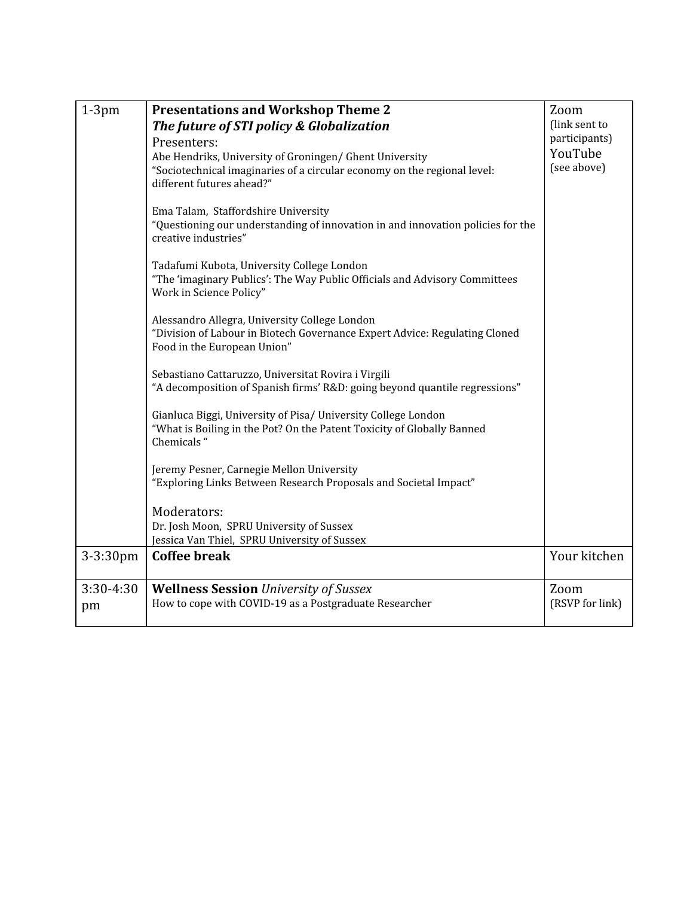| $1-3$ pm        | <b>Presentations and Workshop Theme 2</b><br>The future of STI policy & Globalization<br>Presenters:<br>Abe Hendriks, University of Groningen/ Ghent University<br>"Sociotechnical imaginaries of a circular economy on the regional level:<br>different futures ahead?"<br>Ema Talam, Staffordshire University<br>"Questioning our understanding of innovation in and innovation policies for the<br>creative industries"<br>Tadafumi Kubota, University College London<br>"The 'imaginary Publics': The Way Public Officials and Advisory Committees<br>Work in Science Policy"<br>Alessandro Allegra, University College London<br>"Division of Labour in Biotech Governance Expert Advice: Regulating Cloned<br>Food in the European Union"<br>Sebastiano Cattaruzzo, Universitat Rovira i Virgili<br>"A decomposition of Spanish firms' R&D: going beyond quantile regressions"<br>Gianluca Biggi, University of Pisa/ University College London<br>"What is Boiling in the Pot? On the Patent Toxicity of Globally Banned<br>Chemicals"<br>Jeremy Pesner, Carnegie Mellon University<br>"Exploring Links Between Research Proposals and Societal Impact"<br>Moderators:<br>Dr. Josh Moon, SPRU University of Sussex<br>Jessica Van Thiel, SPRU University of Sussex | Zoom<br>(link sent to<br>participants)<br>YouTube<br>(see above) |
|-----------------|---------------------------------------------------------------------------------------------------------------------------------------------------------------------------------------------------------------------------------------------------------------------------------------------------------------------------------------------------------------------------------------------------------------------------------------------------------------------------------------------------------------------------------------------------------------------------------------------------------------------------------------------------------------------------------------------------------------------------------------------------------------------------------------------------------------------------------------------------------------------------------------------------------------------------------------------------------------------------------------------------------------------------------------------------------------------------------------------------------------------------------------------------------------------------------------------------------------------------------------------------------------------------|------------------------------------------------------------------|
| $3 - 3:30$ pm   | <b>Coffee break</b>                                                                                                                                                                                                                                                                                                                                                                                                                                                                                                                                                                                                                                                                                                                                                                                                                                                                                                                                                                                                                                                                                                                                                                                                                                                       | Your kitchen                                                     |
| 3:30-4:30<br>pm | <b>Wellness Session</b> University of Sussex<br>How to cope with COVID-19 as a Postgraduate Researcher                                                                                                                                                                                                                                                                                                                                                                                                                                                                                                                                                                                                                                                                                                                                                                                                                                                                                                                                                                                                                                                                                                                                                                    | Zoom<br>(RSVP for link)                                          |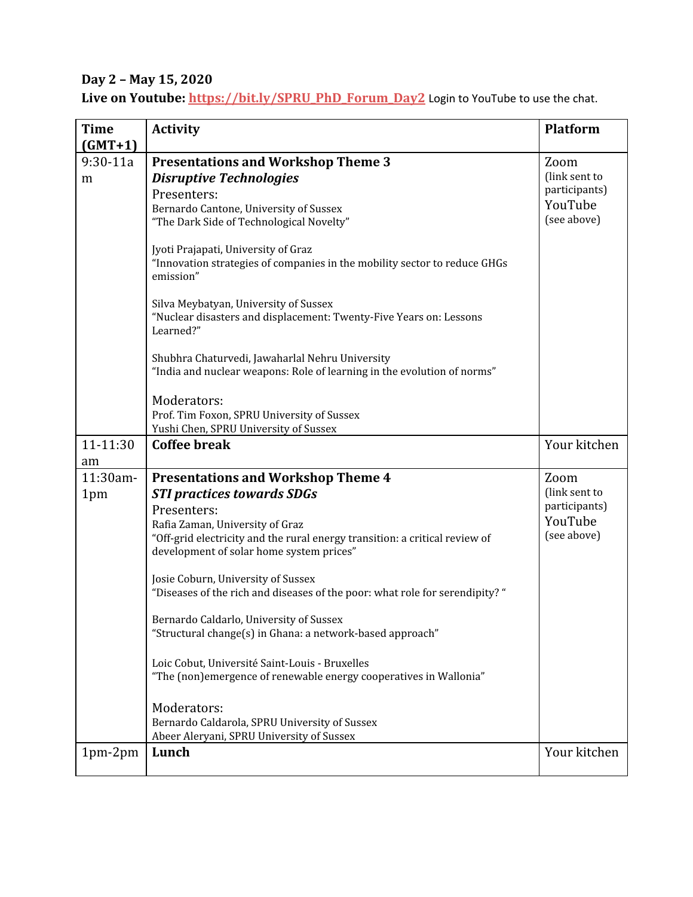**Day 2 – May 15, 2020**

Live on Youtube: [https://bit.ly/SPRU\\_PhD\\_Forum\\_Day2](https://bit.ly/SPRU_PhD_Forum_Day2) Login to YouTube to use the chat.

| <b>Time</b><br>$(GMT+1)$ | <b>Activity</b>                                                                                                                                                                                                                                                                                                                                                                                                                                                                                                                                                                                                                                                                  | <b>Platform</b>                                                  |
|--------------------------|----------------------------------------------------------------------------------------------------------------------------------------------------------------------------------------------------------------------------------------------------------------------------------------------------------------------------------------------------------------------------------------------------------------------------------------------------------------------------------------------------------------------------------------------------------------------------------------------------------------------------------------------------------------------------------|------------------------------------------------------------------|
| $9:30-11a$               | <b>Presentations and Workshop Theme 3</b>                                                                                                                                                                                                                                                                                                                                                                                                                                                                                                                                                                                                                                        | Zoom                                                             |
| m                        | <b>Disruptive Technologies</b><br>Presenters:<br>Bernardo Cantone, University of Sussex<br>"The Dark Side of Technological Novelty"                                                                                                                                                                                                                                                                                                                                                                                                                                                                                                                                              | (link sent to<br>participants)<br>YouTube<br>(see above)         |
|                          | Jyoti Prajapati, University of Graz<br>"Innovation strategies of companies in the mobility sector to reduce GHGs<br>emission"                                                                                                                                                                                                                                                                                                                                                                                                                                                                                                                                                    |                                                                  |
|                          | Silva Meybatyan, University of Sussex<br>"Nuclear disasters and displacement: Twenty-Five Years on: Lessons<br>Learned?"                                                                                                                                                                                                                                                                                                                                                                                                                                                                                                                                                         |                                                                  |
|                          | Shubhra Chaturvedi, Jawaharlal Nehru University<br>"India and nuclear weapons: Role of learning in the evolution of norms"                                                                                                                                                                                                                                                                                                                                                                                                                                                                                                                                                       |                                                                  |
|                          | Moderators:<br>Prof. Tim Foxon, SPRU University of Sussex<br>Yushi Chen, SPRU University of Sussex                                                                                                                                                                                                                                                                                                                                                                                                                                                                                                                                                                               |                                                                  |
| 11-11:30<br>am           | <b>Coffee break</b>                                                                                                                                                                                                                                                                                                                                                                                                                                                                                                                                                                                                                                                              | Your kitchen                                                     |
| 11:30am-<br>1pm          | <b>Presentations and Workshop Theme 4</b><br><b>STI practices towards SDGs</b><br>Presenters:<br>Rafia Zaman, University of Graz<br>"Off-grid electricity and the rural energy transition: a critical review of<br>development of solar home system prices"<br>Josie Coburn, University of Sussex<br>"Diseases of the rich and diseases of the poor: what role for serendipity? "<br>Bernardo Caldarlo, University of Sussex<br>"Structural change(s) in Ghana: a network-based approach"<br>Loic Cobut, Université Saint-Louis - Bruxelles<br>"The (non)emergence of renewable energy cooperatives in Wallonia"<br>Moderators:<br>Bernardo Caldarola, SPRU University of Sussex | Zoom<br>(link sent to<br>participants)<br>YouTube<br>(see above) |
| $1pm-2pm$                | Abeer Aleryani, SPRU University of Sussex<br>Lunch                                                                                                                                                                                                                                                                                                                                                                                                                                                                                                                                                                                                                               | Your kitchen                                                     |